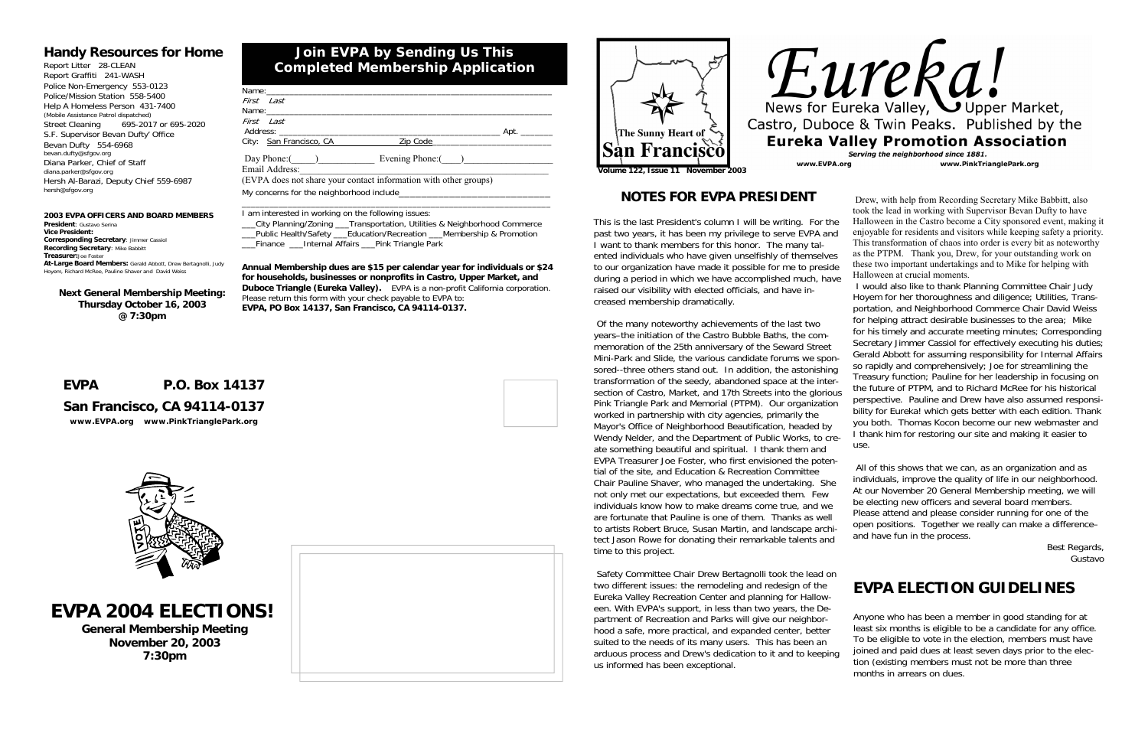| $\overline{\phantom{a}}$ Apt.     |
|-----------------------------------|
|                                   |
| Day Phone: ( ) Evening Phone: ( ) |
|                                   |
|                                   |
|                                   |
|                                   |

\_\_\_City Planning/Zoning \_\_\_Transportation, Utilities & Neighborhood Commerce \_\_\_Public Health/Safety \_\_\_Education/Recreation \_\_\_Membership & Promotion Finance Linternal Affairs Pink Triangle Park

\_\_\_\_\_\_\_\_\_\_\_\_\_\_\_\_\_\_\_\_\_\_\_\_\_\_\_\_\_\_\_\_\_\_\_\_\_\_\_\_\_\_\_\_\_\_\_\_\_\_\_\_\_\_\_\_\_\_\_\_\_\_\_\_\_\_\_

I am interested in working on the following issues:

#### **2003 EVPA OFFICERS AND BOARD MEMBERS President**: Gustavo Serina**Vice President:Corresponding Secretary**: Jimmer Cassiol **Recording Secretary**: Mike Babbitt **Treasurer:**Joe Foster **At-Large Board Members:** Gerald Abbott, Drew Bertagnolli, Judy Richard McRee, Pauline Shaver and David Weiss

**Annual Membership dues are \$15 per calendar year for individuals or \$24 for households, businesses or nonprofits in Castro, Upper Market, and Duboce Triangle (Eureka Valley).** EVPA is a non-profit California corporation. Please return this form with your check payable to EVPA to: **EVPA, PO Box 14137, San Francisco, CA 94114-0137.**

# **Join EVPA by Sending Us This Completed Membership Application**

### **Handy Resources for Home**

Report Litter 28-CLEAN Report Graffiti 241-WASH Police Non-Emergency 553-0123 Police/Mission Station 558-5400 Help A Homeless Person 431-7400 (Mobile Assistance Patrol dispatched) Street Cleaning 695-2017 or 695-2020 S.F. Supervisor Bevan Dufty' Office Bevan Dufty 554-6968 bevan.dufty@sfgov.org Diana Parker, Chief of Staff diana.parker@sfgov.org Hersh Al-Barazi, Deputy Chief 559-6987 hersh@sfgov.org

### **EVPA P.O. Box 14137**

# **San Francisco, CA 94114-0137**

*www.EVPA.org www.PinkTrianglePark.org*







**Next General Membership Meeting: Thursday October 16, 2003 @ 7:30pm** 

# **NOTES FOR EVPA PRESIDENT**

This is the last President's column I will be writing. For the past two years, it has been my privilege to serve EVPA and I want to thank members for this honor. The many talented individuals who have given unselfishly of themselves to our organization have made it possible for me to preside during a period in which we have accomplished much, have raised our visibility with elected officials, and have increased membership dramatically.

 Safety Committee Chair Drew Bertagnolli took the lead on two different issues: the remodeling and redesign of the Eureka Valley Recreation Center and planning for Halloween. With EVPA's support, in less than two years, the Department of Recreation and Parks will give our neighborhood a safe, more practical, and expanded center, better suited to the needs of its many users. This has been an arduous process and Drew's dedication to it and to keeping us informed has been exceptional.



 Of the many noteworthy achievements of the last two years–the initiation of the Castro Bubble Baths, the commemoration of the 25th anniversary of the Seward Street Mini-Park and Slide, the various candidate forums we sponsored--three others stand out. In addition, the astonishing transformation of the seedy, abandoned space at the intersection of Castro, Market, and 17th Streets into the glorious Pink Triangle Park and Memorial (PTPM). Our organization worked in partnership with city agencies, primarily the Mayor's Office of Neighborhood Beautification, headed by Wendy Nelder, and the Department of Public Works, to create something beautiful and spiritual. I thank them and EVPA Treasurer Joe Foster, who first envisioned the potential of the site, and Education & Recreation Committee Chair Pauline Shaver, who managed the undertaking. She not only met our expectations, but exceeded them. Few individuals know how to make dreams come true, and we are fortunate that Pauline is one of them. Thanks as well to artists Robert Bruce, Susan Martin, and landscape architect Jason Rowe for donating their remarkable talents and time to this project. for his timely and accurate meeting minutes; Corresponding Secretary Jimmer Cassiol for effectively executing his duties; Gerald Abbott for assuming responsibility for Internal Affairs so rapidly and comprehensively; Joe for streamlining the Treasury function; Pauline for her leadership in focusing on the future of PTPM, and to Richard McRee for his historical perspective. Pauline and Drew have also assumed responsibility for Eureka! which gets better with each edition. Thank you both. Thomas Kocon become our new webmaster and I thank him for restoring our site and making it easier to use. All of this shows that we can, as an organization and as individuals, improve the quality of life in our neighborhood. At our November 20 General Membership meeting, we will be electing new officers and several board members. Please attend and please consider running for one of the open positions. Together we really can make a difference– and have fun in the process. Best Regards, Gustavo

 Drew, with help from Recording Secretary Mike Babbitt, also took the lead in working with Supervisor Bevan Dufty to have Halloween in the Castro become a City sponsored event, making it enjoyable for residents and visitors while keeping safety a priority. This transformation of chaos into order is every bit as noteworthy as the PTPM. Thank you, Drew, for your outstanding work on these two important undertakings and to Mike for helping with Halloween at crucial moments.

 I would also like to thank Planning Committee Chair Judy Hoyem for her thoroughness and diligence; Utilities, Transportation, and Neighborhood Commerce Chair David Weiss for helping attract desirable businesses to the area; Mike

**EVPA 2004 ELECTIONS!** 

**General Membership Meeting November 20, 2003 7:30pm** 



# **EVPA ELECTION GUIDELINES**

Anyone who has been a member in good standing for at least six months is eligible to be a candidate for any office. To be eligible to vote in the election, members must have joined and paid dues at least seven days prior to the election (existing members must not be more than three months in arrears on dues.